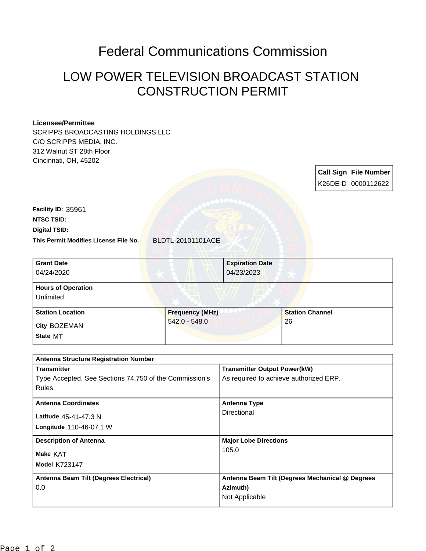## Federal Communications Commission

## LOW POWER TELEVISION BROADCAST STATION CONSTRUCTION PERMIT

## **Licensee/Permittee**

SCRIPPS BROADCASTING HOLDINGS LLC C/O SCRIPPS MEDIA, INC. 312 Walnut ST 28th Floor Cincinnati, OH, 45202

> **Call Sign File Number** K26DE-D 0000112622

**This Permit Modifies License File No.** BLDTL-20101101ACE **Digital TSID: NTSC TSID: Facility ID:** 35961

| <b>Grant Date</b><br>04/24/2020        | <b>Expiration Date</b><br>04/23/2023 |                        |
|----------------------------------------|--------------------------------------|------------------------|
| <b>Hours of Operation</b><br>Unlimited |                                      |                        |
| <b>Station Location</b>                | <b>Frequency (MHz)</b>               | <b>Station Channel</b> |
| City BOZEMAN<br>State MT               | $542.0 - 548.0$                      | 26                     |

| <b>Antenna Structure Registration Number</b>           |                                                 |  |  |
|--------------------------------------------------------|-------------------------------------------------|--|--|
| <b>Transmitter</b>                                     | <b>Transmitter Output Power(kW)</b>             |  |  |
| Type Accepted. See Sections 74.750 of the Commission's | As required to achieve authorized ERP.          |  |  |
| Rules.                                                 |                                                 |  |  |
| <b>Antenna Coordinates</b>                             | Antenna Type                                    |  |  |
| Latitude 45-41-47.3 N                                  | Directional                                     |  |  |
| Longitude 110-46-07.1 W                                |                                                 |  |  |
| <b>Description of Antenna</b>                          | <b>Major Lobe Directions</b>                    |  |  |
| Make KAT                                               | 105.0                                           |  |  |
| <b>Model K723147</b>                                   |                                                 |  |  |
| Antenna Beam Tilt (Degrees Electrical)                 | Antenna Beam Tilt (Degrees Mechanical @ Degrees |  |  |
| 0.0                                                    | Azimuth)                                        |  |  |
|                                                        | Not Applicable                                  |  |  |